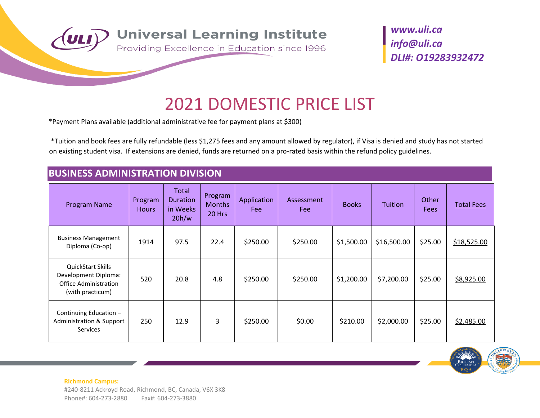

# 2021 DOMESTIC PRICE LIST

\*Payment Plans available (additional administrative fee for payment plans at \$300)

\*Tuition and book fees are fully refundable (less \$1,275 fees and any amount allowed by regulator), if Visa is denied and study has not started on existing student visa. If extensions are denied, funds are returned on a pro-rated basis within the refund policy guidelines.

### **BUSINESS ADMINISTRATION DIVISION**

| Program Name                                                                                         | Program<br><b>Hours</b> | Total<br><b>Duration</b><br>in Weeks<br>20h/w | Program<br><b>Months</b><br>20 Hrs | Application<br>Fee: | Assessment<br>Fee | <b>Books</b> | <b>Tuition</b> | Other<br><b>Fees</b> | <b>Total Fees</b> |
|------------------------------------------------------------------------------------------------------|-------------------------|-----------------------------------------------|------------------------------------|---------------------|-------------------|--------------|----------------|----------------------|-------------------|
| <b>Business Management</b><br>Diploma (Co-op)                                                        | 1914                    | 97.5                                          | 22.4                               | \$250.00            | \$250.00          | \$1,500.00   | \$16,500.00    | \$25.00              | \$18,525.00       |
| <b>QuickStart Skills</b><br>Development Diploma:<br><b>Office Administration</b><br>(with practicum) | 520                     | 20.8                                          | 4.8                                | \$250.00            | \$250.00          | \$1,200.00   | \$7,200.00     | \$25.00              | \$8,925.00        |
| Continuing Education -<br><b>Administration &amp; Support</b><br><b>Services</b>                     | 250                     | 12.9                                          | 3                                  | \$250.00            | \$0.00            | \$210.00     | \$2,000.00     | \$25.00              | \$2,485.00        |

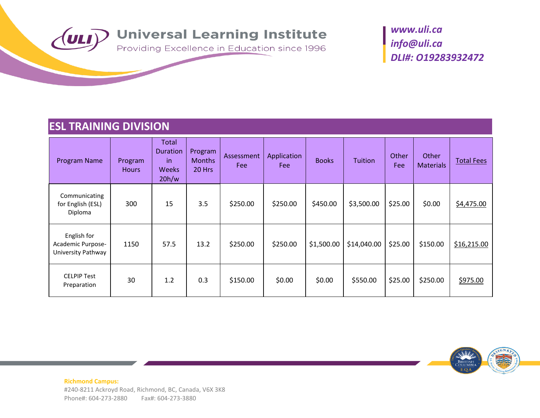

### **ESL TRAINING DIVISION**

| Program Name                                           | Program<br><b>Hours</b> | Total<br>Duration<br>in.<br><b>Weeks</b><br>20h/w | Program<br><b>Months</b><br>20 Hrs | Assessment<br>Fee | Application<br>Fee: | <b>Books</b> | <b>Tuition</b> | Other<br>Fee | Other<br><b>Materials</b> | <b>Total Fees</b> |
|--------------------------------------------------------|-------------------------|---------------------------------------------------|------------------------------------|-------------------|---------------------|--------------|----------------|--------------|---------------------------|-------------------|
| Communicating<br>for English (ESL)<br>Diploma          | 300                     | 15                                                | 3.5                                | \$250.00          | \$250.00            | \$450.00     | \$3,500.00     | \$25.00      | \$0.00                    | \$4,475.00        |
| English for<br>Academic Purpose-<br>University Pathway | 1150                    | 57.5                                              | 13.2                               | \$250.00          | \$250.00            | \$1,500.00   | \$14,040.00    | \$25.00      | \$150.00                  | \$16,215.00       |
| <b>CELPIP Test</b><br>Preparation                      | 30                      | 1.2                                               | 0.3                                | \$150.00          | \$0.00              | \$0.00       | \$550.00       | \$25.00      | \$250.00                  | \$975.00          |

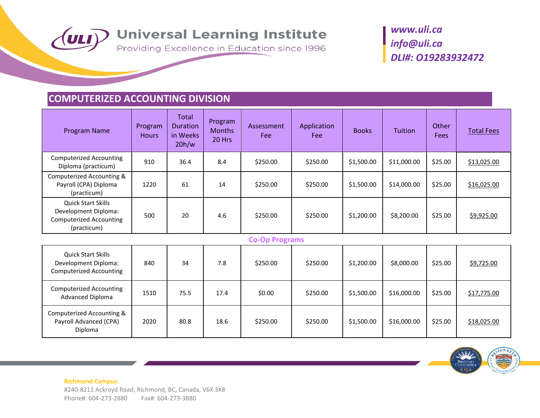

### **COMPUTERIZED ACCOUNTING DIVISION**

| Program Name                                                                                       | Program<br><b>Hours</b> | <b>Total</b><br><b>Duration</b><br>in Weeks<br>20h/w | Program<br><b>Months</b><br>20 Hrs | Assessment<br>Fee     | Application<br>Fee | <b>Books</b> | Tuition     | Other<br><b>Fees</b> | <b>Total Fees</b> |
|----------------------------------------------------------------------------------------------------|-------------------------|------------------------------------------------------|------------------------------------|-----------------------|--------------------|--------------|-------------|----------------------|-------------------|
| <b>Computerized Accounting</b><br>Diploma (practicum)                                              | 910                     | 36.4                                                 | 8.4                                | \$250.00              | \$250.00           | \$1,500.00   | \$11,000.00 | \$25.00              | \$13,025.00       |
| Computerized Accounting &<br>Payroll (CPA) Diploma<br>(practicum)                                  | 1220                    | 61                                                   | 14                                 | \$250.00              | \$250.00           | \$1,500.00   | \$14,000.00 | \$25.00              | \$16,025.00       |
| <b>Quick Start Skills</b><br>Development Diploma:<br><b>Computerized Accounting</b><br>(practicum) | 500                     | 20                                                   | 4.6                                | \$250.00              | \$250.00           | \$1,200.00   | \$8,200.00  | \$25.00              | \$9,925.00        |
|                                                                                                    |                         |                                                      |                                    | <b>Co-Op Programs</b> |                    |              |             |                      |                   |
| Quick Start Skills<br>Development Diploma:<br><b>Computerized Accounting</b>                       | 840                     | 34                                                   | 7.8                                | \$250.00              | \$250.00           | \$1,200.00   | \$8,000.00  | \$25.00              | \$9,725.00        |
| <b>Computerized Accounting</b><br>Advanced Dinloma                                                 | 1510                    | 75.5                                                 | 17.4                               | \$0.00                | \$250.00           | \$1,500.00   | \$16,000.00 | \$25.00              | \$17,775.00       |

| <b>Quick Start Skills</b><br>Development Diploma:<br><b>Computerized Accounting</b> | 840  | 34   | 7.8  | \$250.00 | \$250.00 | \$1,200.00 | \$8,000.00  | \$25.00 | \$9,725.00  |
|-------------------------------------------------------------------------------------|------|------|------|----------|----------|------------|-------------|---------|-------------|
| <b>Computerized Accounting</b><br><b>Advanced Diploma</b>                           | 1510 | 75.5 | 17.4 | \$0.00   | \$250.00 | \$1,500.00 | \$16,000.00 | \$25.00 | \$17,775.00 |
| Computerized Accounting &<br>Payroll Advanced (CPA)<br>Diploma                      | 2020 | 80.8 | 18.6 | \$250.00 | \$250.00 | \$1,500.00 | \$16,000.00 | \$25.00 | \$18,025.00 |

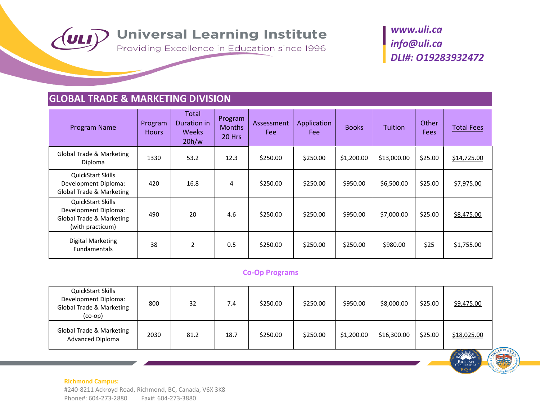

British<br>:Olumbi

### **GLOBAL TRADE & MARKETING DIVISION**

| Program Name                                                                                                | Program<br><b>Hours</b> | Total<br>Duration in<br><b>Weeks</b><br>20h/w | Program<br><b>Months</b><br>20 Hrs | Assessment<br>Fee | Application<br><b>Fee</b> | <b>Books</b> | <b>Tuition</b> | Other<br><b>Fees</b> | <b>Total Fees</b> |
|-------------------------------------------------------------------------------------------------------------|-------------------------|-----------------------------------------------|------------------------------------|-------------------|---------------------------|--------------|----------------|----------------------|-------------------|
| Global Trade & Marketing<br>Diploma                                                                         | 1330                    | 53.2                                          | 12.3                               | \$250.00          | \$250.00                  | \$1,200.00   | \$13,000.00    | \$25.00              | \$14,725.00       |
| <b>QuickStart Skills</b><br>Development Diploma:<br><b>Global Trade &amp; Marketing</b>                     | 420                     | 16.8                                          | 4                                  | \$250.00          | \$250.00                  | \$950.00     | \$6,500.00     | \$25.00              | \$7,975.00        |
| <b>QuickStart Skills</b><br>Development Diploma:<br><b>Global Trade &amp; Marketing</b><br>(with practicum) | 490                     | 20                                            | 4.6                                | \$250.00          | \$250.00                  | \$950.00     | \$7,000.00     | \$25.00              | \$8,475.00        |
| <b>Digital Marketing</b><br><b>Fundamentals</b>                                                             | 38                      | 2                                             | 0.5                                | \$250.00          | \$250.00                  | \$250.00     | \$980.00       | \$25                 | \$1,755.00        |

#### **Co-Op Programs**

| QuickStart Skills<br>Development Diploma:<br>Global Trade & Marketing<br>$(co-op)$ | 800  | 32   | 7.4  | \$250.00 | \$250.00 | \$950.00   | \$8,000.00  | \$25.00 | \$9,475.00  |
|------------------------------------------------------------------------------------|------|------|------|----------|----------|------------|-------------|---------|-------------|
| Global Trade & Marketing<br>Advanced Diploma                                       | 2030 | 81.2 | 18.7 | \$250.00 | \$250.00 | \$1,200.00 | \$16,300.00 | \$25.00 | \$18,025.00 |

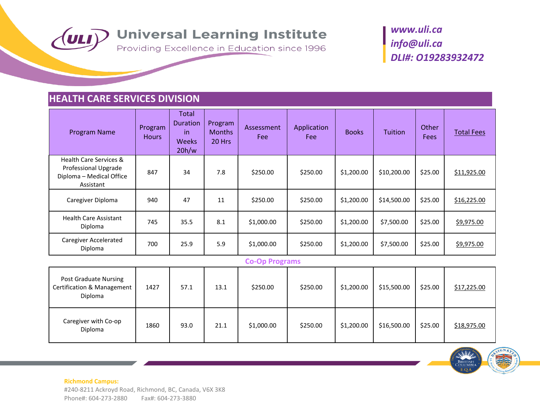

### **HEALTH CARE SERVICES DIVISION**

| Program Name                                                                                       | Program<br><b>Hours</b> | Total<br><b>Duration</b><br>in<br><b>Weeks</b><br>20h/w | Program<br><b>Months</b><br>20 Hrs | Assessment<br>Fee     | Application<br>Fee | <b>Books</b> | <b>Tuition</b>                                                   | Other<br><b>Fees</b> | <b>Total Fees</b>   |
|----------------------------------------------------------------------------------------------------|-------------------------|---------------------------------------------------------|------------------------------------|-----------------------|--------------------|--------------|------------------------------------------------------------------|----------------------|---------------------|
| <b>Health Care Services &amp;</b><br>Professional Upgrade<br>Diploma - Medical Office<br>Assistant | 847                     | 34                                                      | 7.8                                | \$250.00              | \$250.00           | \$1,200.00   | \$10,200.00                                                      | \$25.00              | \$11,925.00         |
| Caregiver Diploma                                                                                  | 940                     | 47                                                      | 11                                 | \$250.00              | \$250.00           | \$1,200.00   | \$14,500.00                                                      | \$25.00              | \$16,225.00         |
| <b>Health Care Assistant</b><br>Diploma                                                            | 745                     | 35.5                                                    | 8.1                                | \$1,000.00            | \$250.00           | \$1,200.00   | \$7,500.00                                                       | \$25.00              | \$9,975.00          |
| <b>Caregiver Accelerated</b><br>Diploma                                                            | 700                     | 25.9                                                    | 5.9                                | \$1,000.00            | \$250.00           | \$1,200.00   | \$7,500.00                                                       | \$25.00              | \$9,975.00          |
|                                                                                                    |                         |                                                         |                                    | <b>Co-Op Programs</b> |                    |              |                                                                  |                      |                     |
| <b>Post Graduate Nursing</b><br>Certification & Management<br>Diploma                              | 1427                    | 57.1                                                    | 13.1                               | \$250.00              | \$250.00           | \$1,200.00   | \$15,500.00                                                      | \$25.00              | \$17,225.00         |
| Caregiver with Co-op                                                                               | 1000                    | $\sim$ $\sim$                                           | 24.4                               | $AA$ 000.00           | $A - A - A$        |              | $\lambda$ 4.399.99 $\lambda$ 45.599.99 $\lambda$ 35.99 $\lambda$ |                      | $\lambda$ 40.075.00 |

ver with so sp 1860 93.0 21.1 \$1,000.00 \$250.00 \$1,200.00 \$16,500.00 \$25.00 <u>\$18,975.00</u><br>Diploma